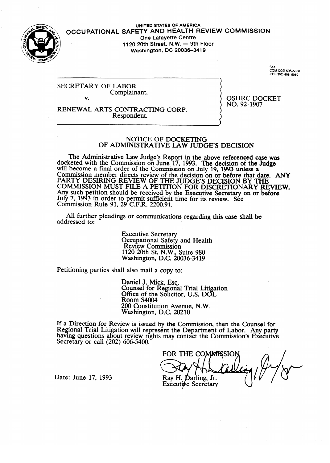

#### **OCCUPATIONA UNITED STATES OF AMERICA SAFETY AND HEALTH REVIEW COMMISSIO One Lafayette Centre**<br>**1120 20th Street, N.W. — 9th Floor 1120 20th Street, N.W. - 9th Floor Washington, DC 20036-3419**

COM (202) 606-505<br>FTS (202) 606-5050

SECRETARY OF LABOR Complainant,  $\mathbf{v}_1$ 

v.

NO. 92-1907  $\frac{1}{2}$ 

RENEWAL ARTS CONTRACTING CORP. Respondent.

## NOTICE OF DOCKETING OF ADMINISTRATIVE LAW JUDGE'S DECISION

OF ADMINISTRATIVE LAW JUDGE'S DECISION ceted with the Commission on June 17, 1993. The decision of the Judge will become a final order of the Commission on July 19, 1993 unless a **Commission member directs review of the decision on or before that d** PARTY DESIRING REVIEW OF THE JUDGE'S DECISION BY THE TOOL BEFORE THE DECISION ON THE COMMISSION MUST FILE A PETITION FOR DISCRETIONARY RE Any such petition should be received by the Executive Secretary on or before July *I*, 1993 in order to permit sufficient time for its review. See COMMISSION KUIE 91,  $29$  C.F.K.  $2200.91$ .

All further pleadings or communications regarding this case shall be  $A$  further pleading or communications regarding the communications regarding the case shall be shall be shall be shall be shall be shall be shall be shall be shall be shall be shall be shall be shall be shall be shall be

> **Executive Secretary** Occupational Safety and Health<br>Review Commission  $1120$   $20th$  St  $N$  W Suite  $980$  $\sum_{n=0}^{\infty}$  Sufficient Commission  $\ldots$   $\ldots$   $\ldots$   $\ldots$   $\ldots$   $\ldots$   $\ldots$   $\ldots$

Petitioning parties shall also mail a copy to:

Daniel J. Mick, Esq. Sumer J. Mick, Esq.<br>Counsel for Regional Trial Litigation<br>Office of the Solicitor, U.S. DOL Room S4004 200 Constitution Avenue, N.W. Washington, D.C. 20210

200 Constitution Avenue, N.W. ew is issued by the Com Regional Trial Litigation will represent the Department of Labor. Any party having questions about review rights may contact the Commission's Executive Secretary or call (202) 606-5400.

 $\Gamma$ op-mutr $\Gamma$ col $\Omega$ ficcionis Rav H. Darling. Jr. Executive Secretary

Date: June 17, 1993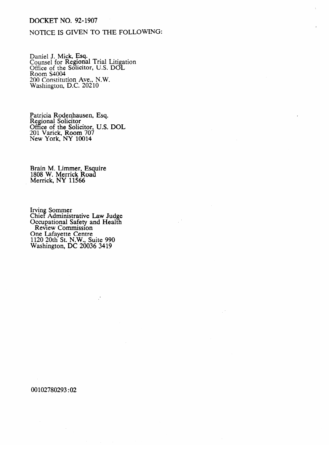## DOCKET NO. 92-1907

# NOTICE IS GIVEN TO THE FOLLOWING:

Daniel J. Mick, Esq.<br>Counsel for Degiona Counsel for Regional Trial Litigation Office of the Solicitor, U.S. DOL ROOM S<del>4</del>004<br>200 Constitut  $200$  Constitution Ave., N.W.  $W$ ashington, D.C. 20210

Regional Solicitor Office of the Soli-201 Varick, Room 70 New York, NY 10014 Esy.<br>= = =

Brain M. Emmer, Esquito Merrick, NY 11566

Cilier Adminius<br>Occupational Occupational Salety and Health REVIEW COMMISSION  $R_{\text{R}}$   $\sim$   $R_{\text{H}}$   $\sim$   $R_{\text{H}}$   $\sim$   $R_{\text{H}}$   $\sim$   $R_{\text{H}}$   $\sim$   $R_{\text{H}}$   $\sim$   $R_{\text{H}}$   $\sim$  $W$ ashington  $DC$  2003  $\frac{1}{20000}$   $\frac{1}{20000}$   $\frac{1}{2000}$ 

00102780293:02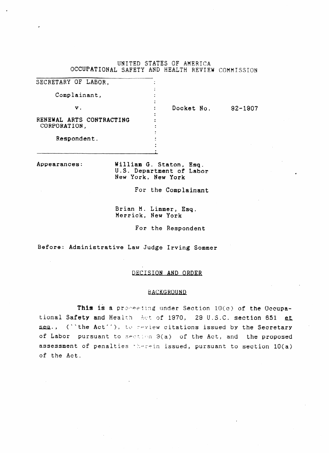# UNITED STATES OF AMERICA OCCUPATIONAL SAFETY AND HEALTH REVIEW COMMISSION

| SECRETARY OF LABOR,                      |            |         |
|------------------------------------------|------------|---------|
| Complainant,                             |            |         |
| ν.                                       | Docket No. | 92-1907 |
| RENEWAL ARTS CONTRACTING<br>CORPORATION, |            |         |
| Respondent.                              |            |         |
|                                          |            |         |

Appearances: William G. Staton, Esq.<br>U.S. Department of Labor New York, New York New York, New York

 $F_{\text{eff}}$  and  $F_{\text{eff}}$  and  $F_{\text{eff}}$ 

Brian M. Limmer, Esq.<br>Merrick, New York Merrick, New York

> For the Respondent For the Respondent

## DECISION AND ORDER

#### **BACKGROUND**

This is a proceeding under Section 10(c) of the Occupational Safety and Health Act of 1970, 29 U.S.C. section 651 et seq., ("the Act"), to review citations issued by the Secretary of Labor pursuant to section 9(a) of the Act, and the proposed assessment of penalties therein issued, pursuant to section 10(a) of the Act.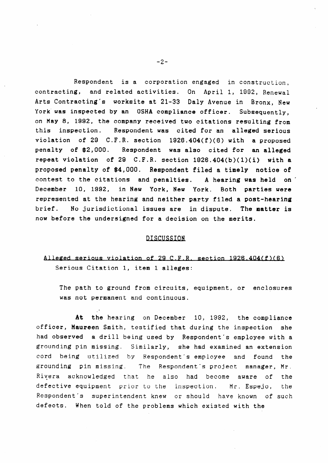Respondent is a corporation engaged in construction, contracting, and related activities. On April 1, 1992, Renewal Arts Contracting's worksite at 21-33 Daly Avenue in Bronx, New York'was inspected by an OSHA compliance officer. Subsequently, on May 8, 1992, the company received two citations resulting from this inspection. Respondent was cited for an alleged serious violation of 29 C.F.R. section  $1926.404(f)(6)$  with a proposed penalty of \$2,000. Respondent was also cited for an alleged repeat violation of 29 C.F.R. section  $1926.404(b)(1)(i)$  with a proposed penalty of \$4,000. Respondent filed **a** timely notice of contest to the citations and penalties. **A** hearing was held on ' December 10, 1992, in New York, New York. Both parties were represented at the hearing and neither party filed **a** post-hearing brief. No jurisdictional issues are in dispute. The matter is now before the undersigned for a decision on the merits.

## DISCUSSION

# Alleged serious violation of 29 C.F.R. section  $1926.404(f)(6)$ Serious Citation 1, item 1 alleges:

The path to ground from circuits, equipment, or enclosures was not permanent and continuous.

At the hearing on December 10, 1992, the compliance officer, Maureen Smith, testified that during the inspection she had observed a drill being used by Respondent's employee with a grounding pin missing. Similarly, she had examined an extension cord being utilized by Respondent's employee and found the grounding pin missing. The Respondent's project manager, Mr. Rivera acknowledged that he also had become aware of the defective equipment prior to the inspection. Mr. Espejo, the Respondent's superintendent knew or should have known of such defects. When told of the problems which existed with the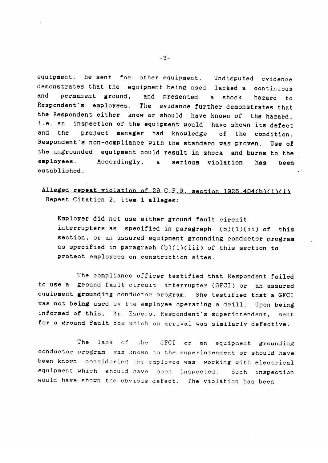equipment, he sent for other equipment. Undisputed evidence demonstrates that the equipment being used lacked a continuous and permanent ground, and presented a shock hazard to<br>Respondent's employees. The evidence-further-demonstrates-that the Respondent either knew or should have known of the hazard, i.e. an inspection of the equipment would have shown its defect and the project manager had knowledge of the condition. Respondent's non-compliance with the standard was proven. Use of the ungrounded equipment could result in shock and burns to the employees. Accordingly, a serious violation has been established.

Alleged repeat violation of 29 C.F.R. section 1926.404(b)(1)(i) Repeat Citation 2, item 1 alleges:

Employer did not use either ground fault circuit interrupters as specified in paragraph  $(b)(1)(ii)$  of this section, or an assured equipment grounding conductor program as specified in paragraph  $(b)(1)(iii)$  of this section to protect employees on construction sites.

The compliance officer testified that Respondent failed to use a ground fault circuit interrupter (GFCI) or an assured equipment grounding conductor program. She testified that a GFCI was not being used by the employee operating a drill. Upon being informed of this, Mr. Espejo, Respondent's superintendent, sent for a ground fault box which on arrival was similarly defective.

for a ground fault box which on arrival was similarly defective. equipment grounding conductor program was known to the superintendent or should have<br>been known considering the employee was working with electrical equipment which should have been inspected. Such inspection would have shown the obvious defect. The violation has been

 $-3-$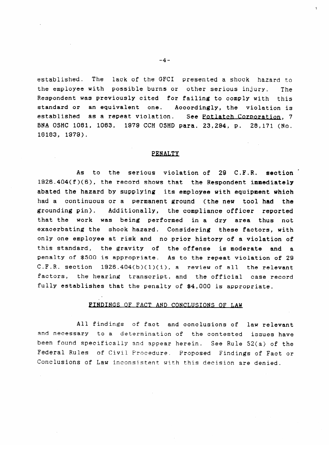established. The lack of the GFCI presented a shock hazard to<br>the employee with possible burns or other serious injury. The the employee with possible burns or other serious injury. The<br>Respondent was previously cited for failing to comply with this standard or an equivalent one. Accordingly, the violation is established as a repeat violation. See Potlatch Corporation, 7 established as a repeat violation. See <u>foliaten corporation</u>, 7<br>RNA OSHC 1061 - 1063 - 1979 CCH OSHD Pars - 23 294 - P. - 28 171 (No BNA OSHC 1061, 1063, 1979 CCH OSHD para. 23,294, p. 28,171 (No.

## **PENALTY**

As to the serious violation of 29 C.F.R. section  $1926.404(f)(6)$ , the record shows that the Respondent immediately abated the hazard by supplying its employee with equipment which had a continuous or a permanent ground (the new tool had the grounding pin). Additionally, the compliance officer reported that the work was being performed in a dry area thus not exacerbating the shock hazard. Considering these factors, with only one employee at risk and no prior history of a violation of this standard, the gravity of the offense is moderate and a penalty of \$500 is appropriate. As to the repeat violation of 29 C.F.R. section  $1926.404(b)(1)(i)$ , a review of all the relevant factors, the hearing transcript, and the official case record fully establishes that the penalty of \$4,000 is appropriate.

## FINDINGS OF FACT AND CONCLUSIONS OF LAW

fully establishes that the penalty of \$4,000 is appropriate.

All findings of fact and conclusions of law relevant and necessary to a determination of the contested issues have been found specifically and appear herein. See Rule 52(a) of the Federal Rules of Civil Procedure. Proposed Findings of Fact or Conclusions of Law inconsistent with this decision are denied.

Conclusions of Law inconsistent with this decision are denied.

 $-4-$